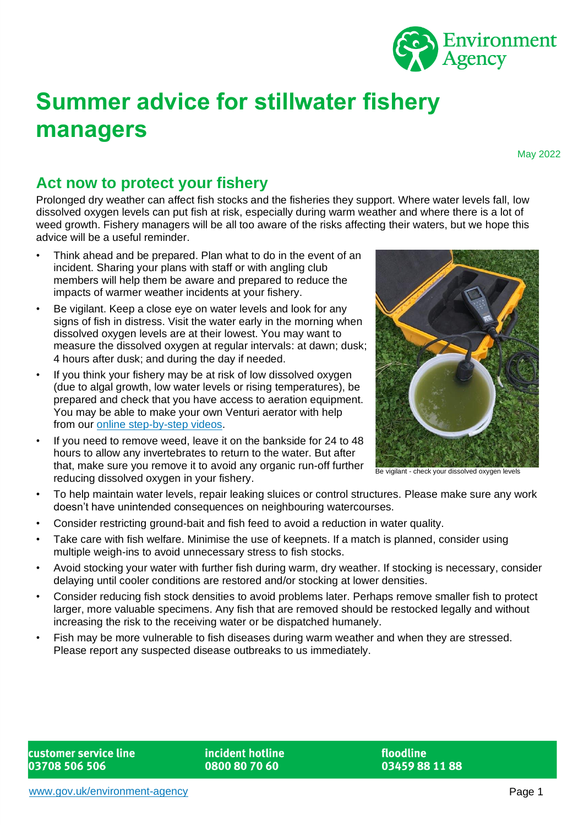

# **Summer advice for stillwater fishery managers**

May 2022

## **Act now to protect your fishery**

Prolonged dry weather can affect fish stocks and the fisheries they support. Where water levels fall, low dissolved oxygen levels can put fish at risk, especially during warm weather and where there is a lot of weed growth. Fishery managers will be all too aware of the risks affecting their waters, but we hope this advice will be a useful reminder.

- Think ahead and be prepared. Plan what to do in the event of an incident. Sharing your plans with staff or with angling club members will help them be aware and prepared to reduce the impacts of warmer weather incidents at your fishery.
- Be vigilant. Keep a close eye on water levels and look for any signs of fish in distress. Visit the water early in the morning when dissolved oxygen levels are at their lowest. You may want to measure the dissolved oxygen at regular intervals: at dawn; dusk; 4 hours after dusk; and during the day if needed.
- If you think your fishery may be at risk of low dissolved oxygen (due to algal growth, low water levels or rising temperatures), be prepared and check that you have access to aeration equipment. You may be able to make your own Venturi aerator with help from our [online step-by-step videos.](https://www.youtube.com/watch?v=IZyrL5Ojqpo)
- If you need to remove weed, leave it on the bankside for 24 to 48 hours to allow any invertebrates to return to the water. But after that, make sure you remove it to avoid any organic run-off further reducing dissolved oxygen in your fishery.



Be vigilant - check your dissolved oxygen levels

- To help maintain water levels, repair leaking sluices or control structures. Please make sure any work doesn't have unintended consequences on neighbouring watercourses.
- Consider restricting ground-bait and fish feed to avoid a reduction in water quality.
- Take care with fish welfare. Minimise the use of keepnets. If a match is planned, consider using multiple weigh-ins to avoid unnecessary stress to fish stocks.
- Avoid stocking your water with further fish during warm, dry weather. If stocking is necessary, consider delaying until cooler conditions are restored and/or stocking at lower densities.
- Consider reducing fish stock densities to avoid problems later. Perhaps remove smaller fish to protect larger, more valuable specimens. Any fish that are removed should be restocked legally and without increasing the risk to the receiving water or be dispatched humanely.
- Fish may be more vulnerable to fish diseases during warm weather and when they are stressed. Please report any suspected disease outbreaks to us immediately.

incident hotline 0800 80 70 60

floodline 03459 88 11 88